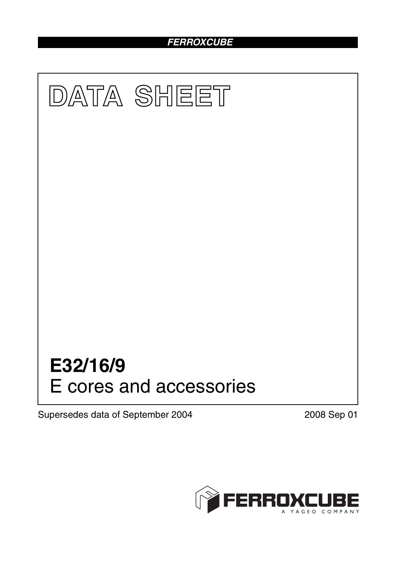# *FERROXCUBE*



Supersedes data of September 2004 2008 Sep 01

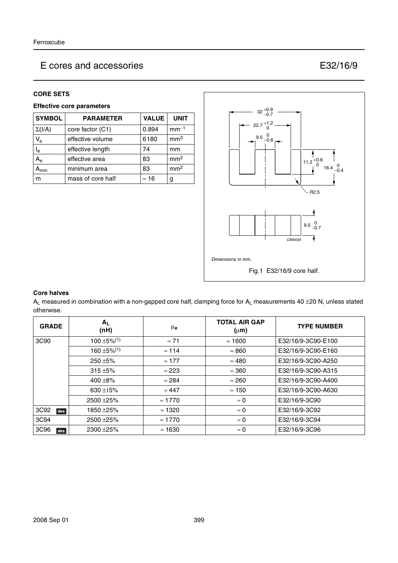#### **CORE SETS**

#### **Effective core parameters**

| <b>SYMBOL</b> | <b>PARAMETER</b>  | <b>VALUE</b> | <b>UNIT</b>     |
|---------------|-------------------|--------------|-----------------|
| $\Sigma(I/A)$ | core factor (C1)  | 0.894        | $mm-1$          |
| $V_{e}$       | effective volume  | 6180         | mm <sup>3</sup> |
| $I_e$         | effective length  | 74           | mm              |
| $A_{\rm e}$   | effective area    | 83           | mm <sup>2</sup> |
| $A_{min}$     | minimum area      | 83           | mm <sup>2</sup> |
| m             | mass of core half | $\approx$ 16 | g               |



#### **Core halves**

 $A_L$  measured in combination with a non-gapped core half, clamping force for  $A_L$  measurements 40  $\pm$ 20 N, unless stated otherwise.

| <b>GRADE</b>            | $A_{L}$<br>(nH)              | μ <sub>e</sub> | <b>TOTAL AIR GAP</b><br>$(\mu m)$ | <b>TYPE NUMBER</b> |
|-------------------------|------------------------------|----------------|-----------------------------------|--------------------|
| 3C90                    | $100 \pm 5\%$ <sup>(1)</sup> | $\approx 71$   | $\approx$ 1600                    | E32/16/9-3C90-E100 |
|                         | $160 \pm 5\%$ <sup>(1)</sup> | $\approx$ 114  | $\approx 860$                     | E32/16/9-3C90-E160 |
|                         | $250 + 5%$                   | $\approx$ 177  | $\approx 480$                     | E32/16/9-3C90-A250 |
|                         | $315 + 5%$                   | $\approx$ 223  | $\approx 360$                     | E32/16/9-3C90-A315 |
|                         | 400 $\pm$ 8%                 | $\approx$ 284  | $\approx 260$                     | E32/16/9-3C90-A400 |
|                         | 630 ±15%                     | $\approx 447$  | $\approx$ 150                     | E32/16/9-3C90-A630 |
|                         | 2500 ± 25%                   | $\approx$ 1770 | $\approx 0$                       | E32/16/9-3C90      |
| 3C92<br>des             | 1850 ±25%                    | $\approx$ 1320 | $\approx 0$                       | E32/16/9-3C92      |
| 3C94                    | 2500 ± 25%                   | $\approx$ 1770 | $\approx 0$                       | E32/16/9-3C94      |
| 3C <sub>96</sub><br>des | 2300 ± 25%                   | $\approx$ 1630 | $\approx 0$                       | E32/16/9-3C96      |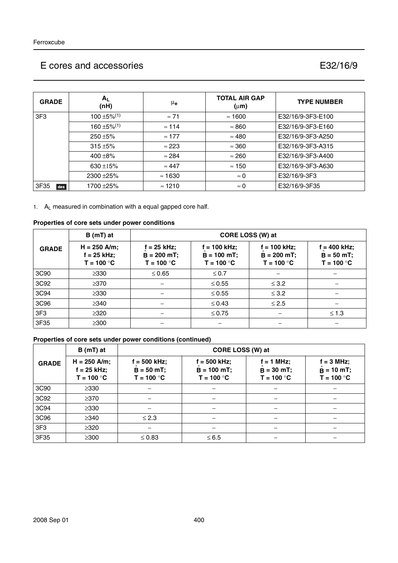| <b>GRADE</b>    | $A_L$<br>(nH)                | $\mu_{\mathbf{e}}$ | <b>TOTAL AIR GAP</b><br>$(\mu m)$ | <b>TYPE NUMBER</b> |
|-----------------|------------------------------|--------------------|-----------------------------------|--------------------|
| 3F <sub>3</sub> | $100 \pm 5\%$ <sup>(1)</sup> | $\approx$ 71       | $\approx$ 1600                    | E32/16/9-3F3-E100  |
|                 | $160 \pm 5\%$ <sup>(1)</sup> | $\approx$ 114      | $\approx 860$                     | E32/16/9-3F3-E160  |
|                 | 250 ±5%                      | $\approx$ 177      | $\approx 480$                     | E32/16/9-3F3-A250  |
|                 | $315 + 5%$                   | $\approx$ 223      | $\approx 360$                     | E32/16/9-3F3-A315  |
|                 | 400 $\pm$ 8%                 | $\approx$ 284      | $\approx 260$                     | E32/16/9-3F3-A400  |
|                 | 630 $\pm$ 15%                | $\approx 447$      | $\approx$ 150                     | E32/16/9-3F3-A630  |
|                 | 2300 ± 25%                   | $\approx$ 1630     | $\approx 0$                       | E32/16/9-3F3       |
| 3F35<br>des     | 1700 ± 25%                   | $\approx$ 1210     | $\approx 0$                       | E32/16/9-3F35      |

1. AL measured in combination with a equal gapped core half.

#### **Properties of core sets under power conditions**

|                 | $B(mT)$ at                                      |                                                | CORE LOSS (W) at                                |                                                 |                                                 |
|-----------------|-------------------------------------------------|------------------------------------------------|-------------------------------------------------|-------------------------------------------------|-------------------------------------------------|
| <b>GRADE</b>    | $H = 250$ A/m;<br>$f = 25$ kHz;<br>$T = 100 °C$ | $f = 25$ kHz;<br>$B = 200$ mT;<br>$T = 100 °C$ | $f = 100$ kHz;<br>$B = 100$ mT;<br>$T = 100 °C$ | $f = 100$ kHz;<br>$B = 200$ mT;<br>$T = 100 °C$ | $f = 400$ kHz;<br>$B = 50 mT$ ;<br>$T = 100 °C$ |
| 3C90            | $\geq$ 330                                      | $\leq 0.65$                                    | $\leq 0.7$                                      |                                                 |                                                 |
| 3C92            | $\geq$ 370                                      |                                                | $\leq 0.55$                                     | $\leq$ 3.2                                      |                                                 |
| 3C94            | $\geq 330$                                      |                                                | $\leq 0.55$                                     | $\leq$ 3.2                                      |                                                 |
| 3C96            | $\geq$ 340                                      |                                                | $\leq 0.43$                                     | $\leq 2.5$                                      |                                                 |
| 3F <sub>3</sub> | $\geq 320$                                      |                                                | $\leq 0.75$                                     |                                                 | $\leq 1.3$                                      |
| 3F35            | $\geq 300$                                      |                                                |                                                 |                                                 |                                                 |

#### **Properties of core sets under power conditions (continued)**

|              | $B(mT)$ at                                      |                                               | CORE LOSS (W) at                                |                                              |                                                     |
|--------------|-------------------------------------------------|-----------------------------------------------|-------------------------------------------------|----------------------------------------------|-----------------------------------------------------|
| <b>GRADE</b> | $H = 250$ A/m;<br>$f = 25$ kHz;<br>$T = 100 °C$ | f = 500 kHz;<br>$B = 50 mT$ ;<br>$T = 100 °C$ | $f = 500$ kHz;<br>$B = 100$ mT;<br>$T = 100 °C$ | $f = 1$ MHz;<br>$B = 30$ mT;<br>$T = 100 °C$ | $f = 3 MHz$ ;<br>$\hat{B} = 10$ mT;<br>$T = 100 °C$ |
| 3C90         | $\geq$ 330                                      |                                               |                                                 |                                              |                                                     |
| 3C92         | $\geq$ 370                                      |                                               |                                                 |                                              |                                                     |
| 3C94         | $\geq$ 330                                      |                                               |                                                 |                                              |                                                     |
| 3C96         | $\geq$ 340                                      | $\leq$ 2.3                                    |                                                 |                                              |                                                     |
| 3F3          | $\geq$ 320                                      |                                               |                                                 |                                              |                                                     |
| 3F35         | $\geq$ 300                                      | $\leq 0.83$                                   | $\leq 6.5$                                      |                                              |                                                     |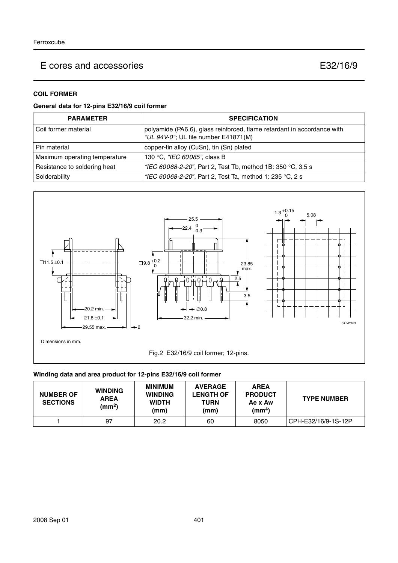### **COIL FORMER**

#### **General data for 12-pins E32/16/9 coil former**

| <b>PARAMETER</b>              | <b>SPECIFICATION</b>                                                                                            |  |
|-------------------------------|-----------------------------------------------------------------------------------------------------------------|--|
| Coil former material          | polyamide (PA6.6), glass reinforced, flame retardant in accordance with<br>"UL 94V-0"; UL file number E41871(M) |  |
| Pin material                  | copper-tin alloy (CuSn), tin (Sn) plated                                                                        |  |
| Maximum operating temperature | 130 °C, "IEC 60085", class B                                                                                    |  |
| Resistance to soldering heat  | "IEC 60068-2-20", Part 2, Test Tb, method 1B: 350 °C, 3.5 s                                                     |  |
| Solderability                 | "IEC 60068-2-20", Part 2, Test Ta, method 1: 235 °C, 2 s                                                        |  |



#### **Winding data and area product for 12-pins E32/16/9 coil former**

| <b>NUMBER OF</b><br><b>SECTIONS</b> | <b>WINDING</b><br><b>AREA</b><br>(mm <sup>2</sup> ) | <b>MINIMUM</b><br><b>WINDING</b><br><b>WIDTH</b><br>(mm) | <b>AVERAGE</b><br><b>LENGTH OF</b><br><b>TURN</b><br>(mm) | <b>AREA</b><br><b>PRODUCT</b><br>Ae x Aw<br>(mm <sup>4</sup> ) | <b>TYPE NUMBER</b>  |
|-------------------------------------|-----------------------------------------------------|----------------------------------------------------------|-----------------------------------------------------------|----------------------------------------------------------------|---------------------|
|                                     | 97                                                  | 20.2                                                     | 60                                                        | 8050                                                           | CPH-E32/16/9-1S-12P |